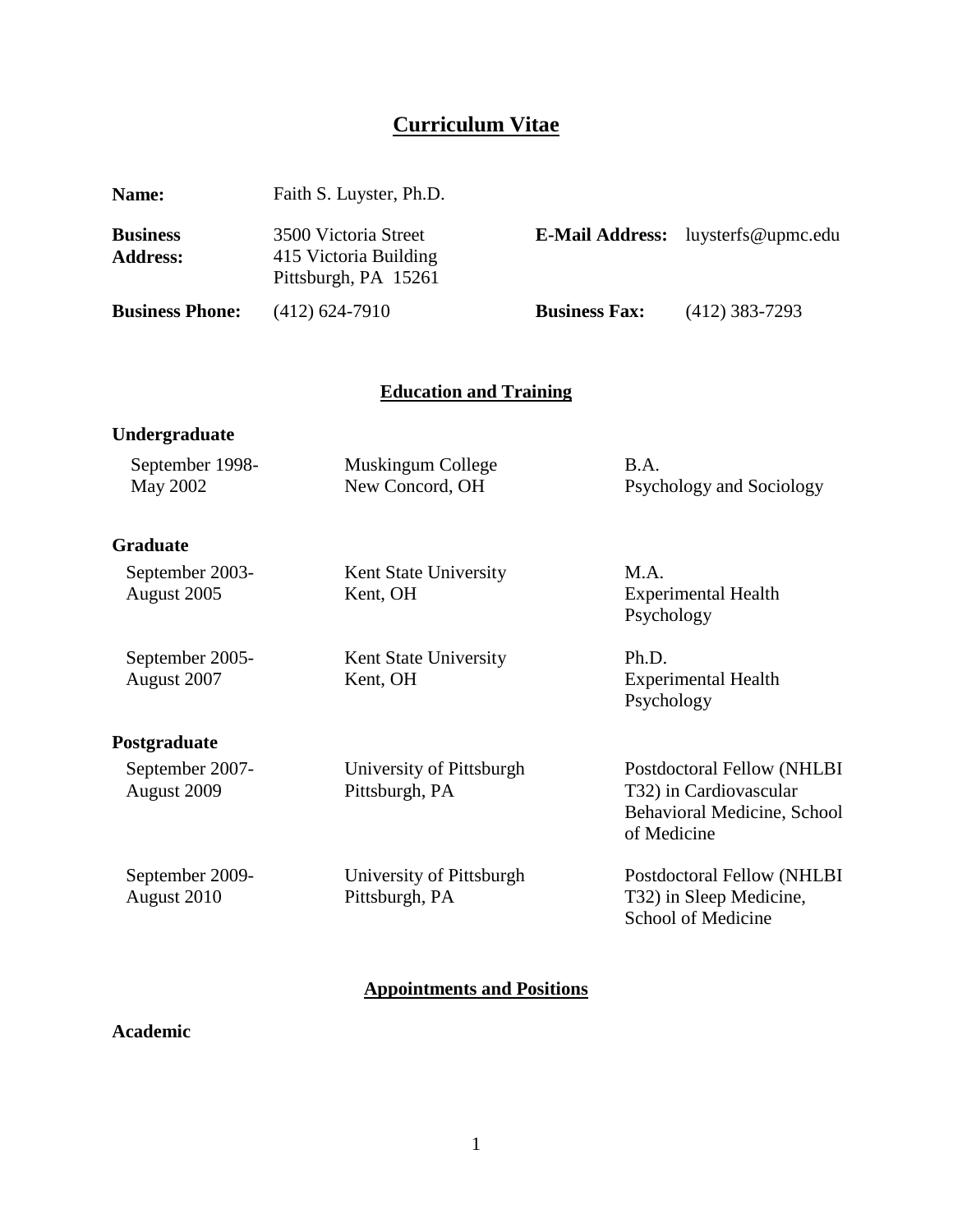# **Curriculum Vitae**

| Name:                              | Faith S. Luyster, Ph.D.                                               |                                              |                                                                                     |
|------------------------------------|-----------------------------------------------------------------------|----------------------------------------------|-------------------------------------------------------------------------------------|
| <b>Business</b><br><b>Address:</b> | 3500 Victoria Street<br>415 Victoria Building<br>Pittsburgh, PA 15261 | <b>E-Mail Address:</b><br>luysterfs@upmc.edu |                                                                                     |
| <b>Business Phone:</b>             | $(412) 624 - 7910$                                                    | <b>Business Fax:</b>                         | $(412)$ 383-7293                                                                    |
|                                    |                                                                       |                                              |                                                                                     |
|                                    | <b>Education and Training</b>                                         |                                              |                                                                                     |
| Undergraduate                      |                                                                       |                                              |                                                                                     |
| September 1998-<br><b>May 2002</b> | Muskingum College<br>New Concord, OH                                  | B.A.                                         | Psychology and Sociology                                                            |
| <b>Graduate</b>                    |                                                                       |                                              |                                                                                     |
| September 2003-<br>August 2005     | Kent State University<br>Kent, OH                                     | M.A.<br>Psychology                           | <b>Experimental Health</b>                                                          |
| September 2005-<br>August 2007     | Kent State University<br>Kent, OH                                     | Ph.D.<br>Psychology                          | <b>Experimental Health</b>                                                          |
| Postgraduate                       |                                                                       |                                              |                                                                                     |
| September 2007-<br>August 2009     | University of Pittsburgh<br>Pittsburgh, PA                            | of Medicine                                  | Postdoctoral Fellow (NHLBI<br>T32) in Cardiovascular<br>Behavioral Medicine, School |
| September 2009-<br>August 2010     | University of Pittsburgh<br>Pittsburgh, PA                            |                                              | Postdoctoral Fellow (NHLBI<br>T32) in Sleep Medicine,<br>School of Medicine         |

# **Appointments and Positions**

# **Academic**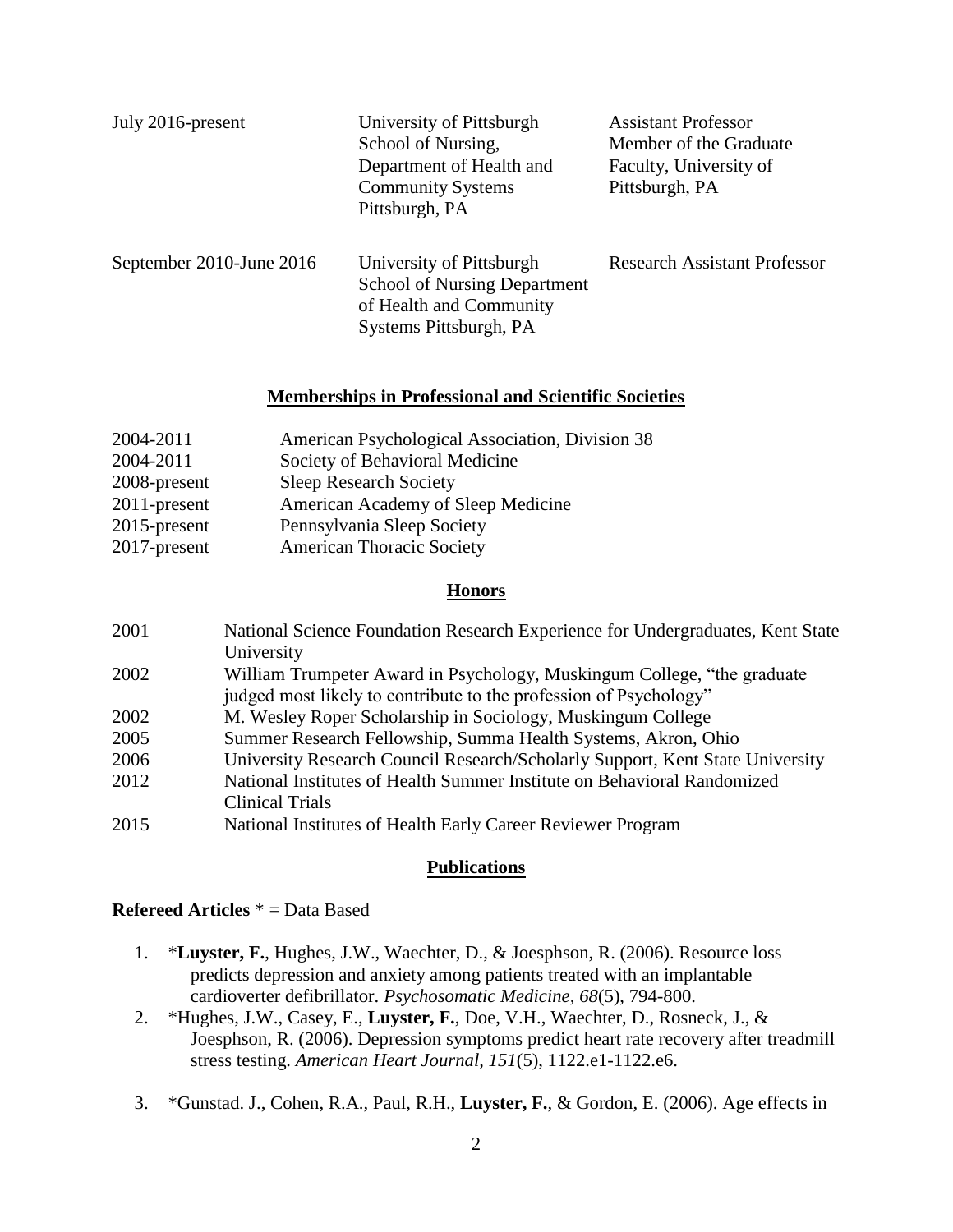| July 2016-present        | University of Pittsburgh<br>School of Nursing,<br>Department of Health and<br><b>Community Systems</b><br>Pittsburgh, PA | <b>Assistant Professor</b><br>Member of the Graduate<br>Faculty, University of<br>Pittsburgh, PA |
|--------------------------|--------------------------------------------------------------------------------------------------------------------------|--------------------------------------------------------------------------------------------------|
| September 2010-June 2016 | University of Pittsburgh<br><b>School of Nursing Department</b><br>of Health and Community<br>Systems Pittsburgh, PA     | <b>Research Assistant Professor</b>                                                              |

#### **Memberships in Professional and Scientific Societies**

| American Psychological Association, Division 38 |
|-------------------------------------------------|
| Society of Behavioral Medicine                  |
| <b>Sleep Research Society</b>                   |
| American Academy of Sleep Medicine              |
| Pennsylvania Sleep Society                      |
| American Thoracic Society                       |
|                                                 |

#### **Honors**

| 2001 | National Science Foundation Research Experience for Undergraduates, Kent State |
|------|--------------------------------------------------------------------------------|
|      | University                                                                     |
| 2002 | William Trumpeter Award in Psychology, Muskingum College, "the graduate"       |
|      | judged most likely to contribute to the profession of Psychology"              |
| 2002 | M. Wesley Roper Scholarship in Sociology, Muskingum College                    |
| 2005 | Summer Research Fellowship, Summa Health Systems, Akron, Ohio                  |
| 2006 | University Research Council Research/Scholarly Support, Kent State University  |
| 2012 | National Institutes of Health Summer Institute on Behavioral Randomized        |
|      | <b>Clinical Trials</b>                                                         |
| 2015 | National Institutes of Health Early Career Reviewer Program                    |

#### **Publications**

## **Refereed Articles** \* = Data Based

- 1. \***Luyster, F.**, Hughes, J.W., Waechter, D., & Joesphson, R. (2006). Resource loss predicts depression and anxiety among patients treated with an implantable cardioverter defibrillator. *Psychosomatic Medicine, 68*(5), 794-800.
- 2. \*Hughes, J.W., Casey, E., **Luyster, F.**, Doe, V.H., Waechter, D., Rosneck, J., & Joesphson, R. (2006). Depression symptoms predict heart rate recovery after treadmill stress testing. *American Heart Journal, 151*(5), 1122.e1-1122.e6.
- 3. \*Gunstad. J., Cohen, R.A., Paul, R.H., **Luyster, F.**, & Gordon, E. (2006). Age effects in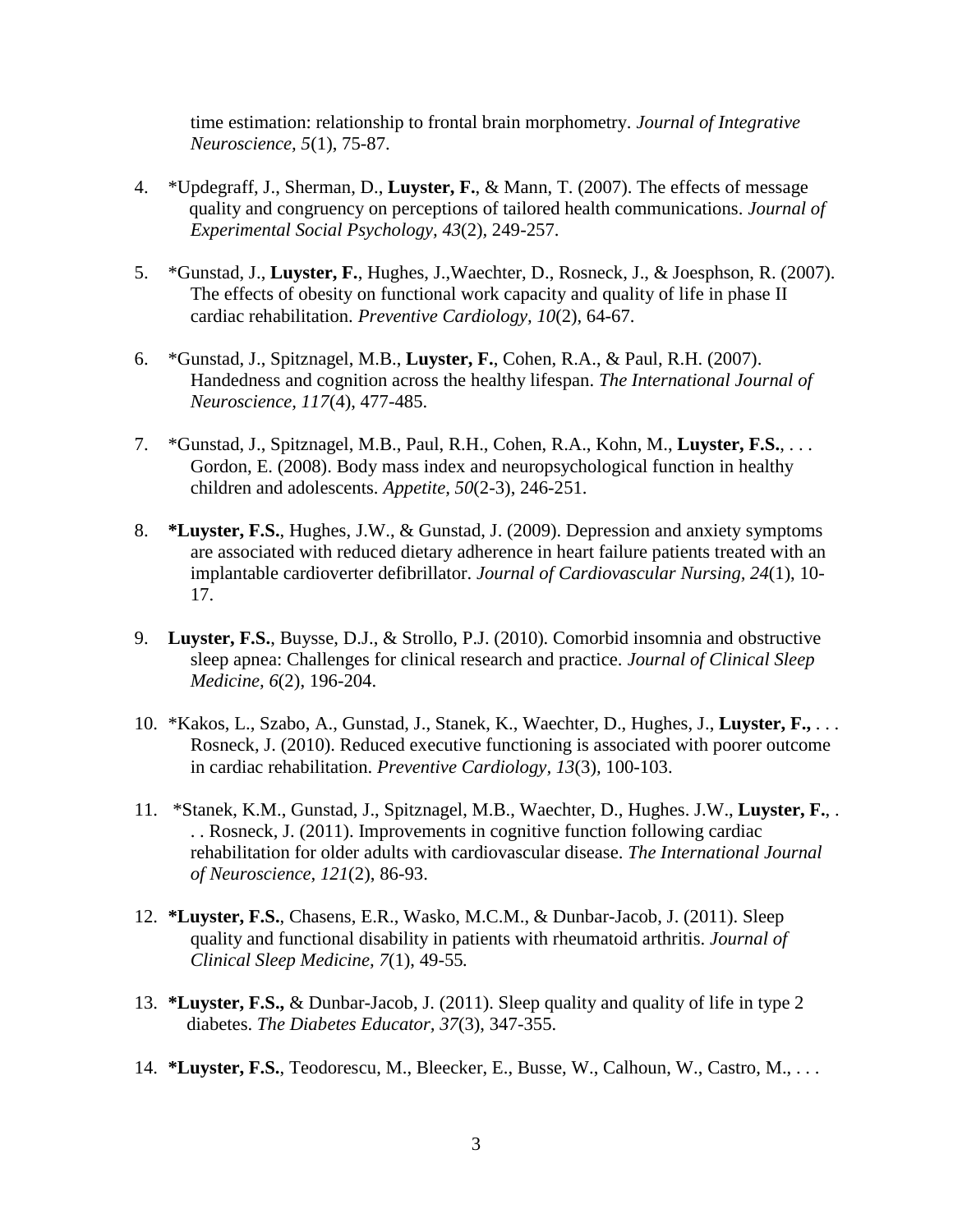time estimation: relationship to frontal brain morphometry. *Journal of Integrative Neuroscience, 5*(1), 75-87.

- 4. \*Updegraff, J., Sherman, D., **Luyster, F.**, & Mann, T. (2007). The effects of message quality and congruency on perceptions of tailored health communications. *Journal of Experimental Social Psychology, 43*(2)*,* 249-257.
- 5. \*Gunstad, J., **Luyster, F.**, Hughes, J.,Waechter, D., Rosneck, J., & Joesphson, R. (2007). The effects of obesity on functional work capacity and quality of life in phase II cardiac rehabilitation. *Preventive Cardiology, 10*(2), 64-67.
- 6. \*Gunstad, J., Spitznagel, M.B., **Luyster, F.**, Cohen, R.A., & Paul, R.H. (2007). Handedness and cognition across the healthy lifespan. *The International Journal of Neuroscience, 117*(4), 477-485.
- 7. \*Gunstad, J., Spitznagel, M.B., Paul, R.H., Cohen, R.A., Kohn, M., **Luyster, F.S.**, . . . Gordon, E. (2008). Body mass index and neuropsychological function in healthy children and adolescents. *Appetite, 50*(2-3), 246-251.
- 8. **\*Luyster, F.S.**, Hughes, J.W., & Gunstad, J. (2009). Depression and anxiety symptoms are associated with reduced dietary adherence in heart failure patients treated with an implantable cardioverter defibrillator. *Journal of Cardiovascular Nursing, 24*(1), 10- 17.
- 9. **Luyster, F.S.**, Buysse, D.J., & Strollo, P.J. (2010). Comorbid insomnia and obstructive sleep apnea: Challenges for clinical research and practice. *Journal of Clinical Sleep Medicine, 6*(2), 196-204.
- 10. \*Kakos, L., Szabo, A., Gunstad, J., Stanek, K., Waechter, D., Hughes, J., **Luyster, F.,** . . . Rosneck, J. (2010). Reduced executive functioning is associated with poorer outcome in cardiac rehabilitation. *Preventive Cardiology, 13*(3)*,* 100-103.
- 11. \*Stanek, K.M., Gunstad, J., Spitznagel, M.B., Waechter, D., Hughes. J.W., **Luyster, F.**, . . . Rosneck, J. (2011). Improvements in cognitive function following cardiac rehabilitation for older adults with cardiovascular disease. *The International Journal of Neuroscience, 121*(2), 86-93.
- 12. **\*Luyster, F.S.**, Chasens, E.R., Wasko, M.C.M., & Dunbar-Jacob, J. (2011). Sleep quality and functional disability in patients with rheumatoid arthritis. *Journal of Clinical Sleep Medicine, 7*(1), 49-55*.*
- 13. **\*Luyster, F.S.,** & Dunbar-Jacob, J. (2011). Sleep quality and quality of life in type 2 diabetes. *The Diabetes Educator, 37*(3), 347-355.
- 14. **\*Luyster, F.S.**, Teodorescu, M., Bleecker, E., Busse, W., Calhoun, W., Castro, M., . . .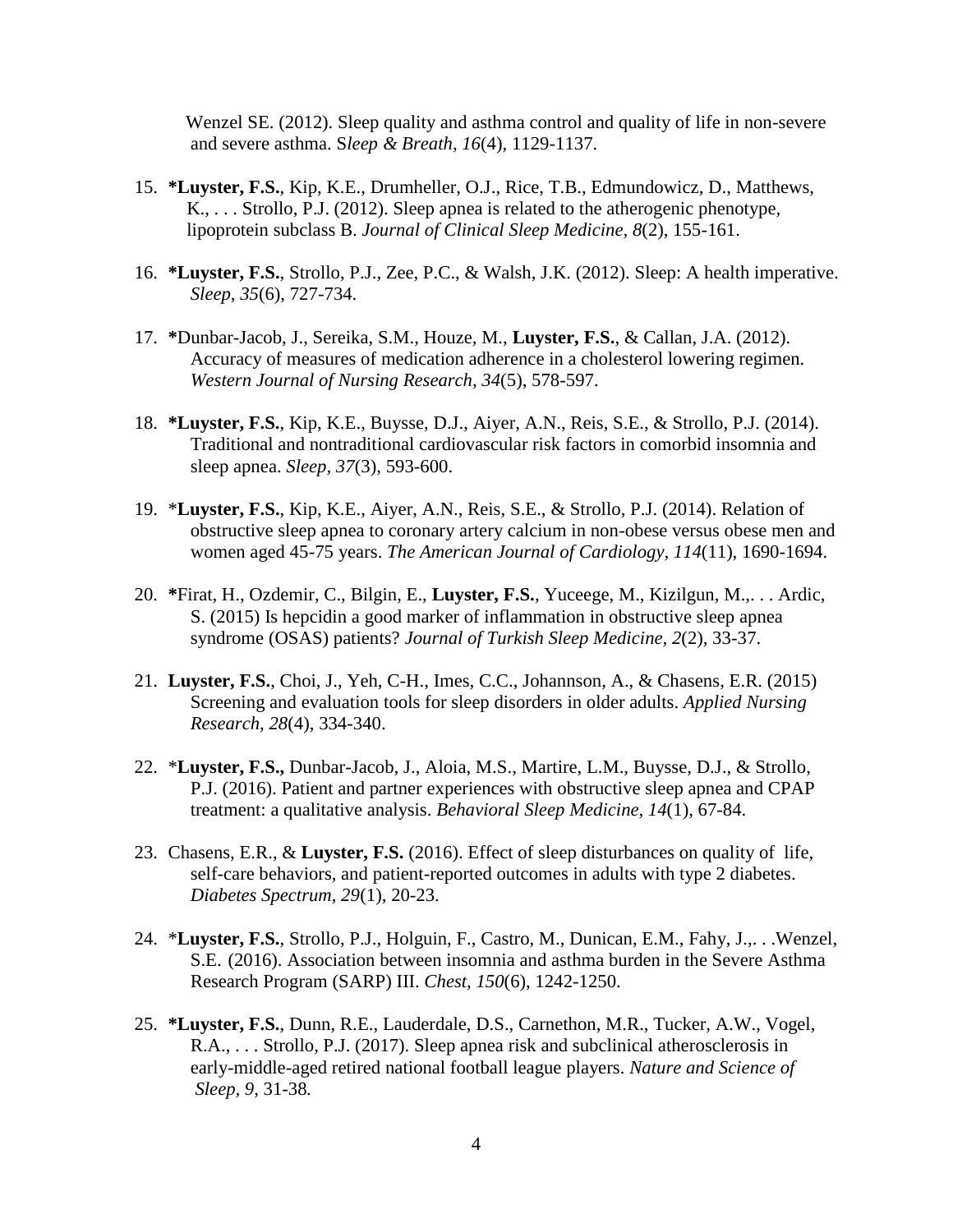Wenzel SE. (2012). Sleep quality and asthma control and quality of life in non-severe and severe asthma. S*leep & Breath, 16*(4), 1129-1137.

- 15. **\*Luyster, F.S.**, Kip, K.E., Drumheller, O.J., Rice, T.B., Edmundowicz, D., Matthews, K., . . . Strollo, P.J. (2012). Sleep apnea is related to the atherogenic phenotype, lipoprotein subclass B. *Journal of Clinical Sleep Medicine, 8*(2), 155-161.
- 16. **\*Luyster, F.S.**, Strollo, P.J., Zee, P.C., & Walsh, J.K. (2012). Sleep: A health imperative. *Sleep, 35*(6), 727-734.
- 17. **\***Dunbar-Jacob, J., Sereika, S.M., Houze, M., **Luyster, F.S.**, & Callan, J.A. (2012). Accuracy of measures of medication adherence in a cholesterol lowering regimen. *Western Journal of Nursing Research, 34*(5), 578-597.
- 18. **\*Luyster, F.S.**, Kip, K.E., Buysse, D.J., Aiyer, A.N., Reis, S.E., & Strollo, P.J. (2014). Traditional and nontraditional cardiovascular risk factors in comorbid insomnia and sleep apnea. *Sleep, 37*(3), 593-600.
- 19. \***Luyster, F.S.**, Kip, K.E., Aiyer, A.N., Reis, S.E., & Strollo, P.J. (2014). Relation of obstructive sleep apnea to coronary artery calcium in non-obese versus obese men and women aged 45-75 years. *The American Journal of Cardiology, 114*(11), 1690-1694.
- 20. **\***Firat, H., Ozdemir, C., Bilgin, E., **Luyster, F.S.**, Yuceege, M., Kizilgun, M.,. . . Ardic, S. (2015) Is hepcidin a good marker of inflammation in obstructive sleep apnea syndrome (OSAS) patients? *Journal of Turkish Sleep Medicine, 2*(2), 33-37.
- 21. **Luyster, F.S.**, Choi, J., Yeh, C-H., Imes, C.C., Johannson, A., & Chasens, E.R. (2015) Screening and evaluation tools for sleep disorders in older adults. *Applied Nursing Research, 28*(4), 334-340.
- 22. \***Luyster, F.S.,** Dunbar-Jacob, J., Aloia, M.S., Martire, L.M., Buysse, D.J., & Strollo, P.J. (2016). Patient and partner experiences with obstructive sleep apnea and CPAP treatment: a qualitative analysis. *Behavioral Sleep Medicine, 14*(1), 67-84.
- 23. Chasens, E.R., & **Luyster, F.S.** (2016). Effect of sleep disturbances on quality of life, self-care behaviors, and patient-reported outcomes in adults with type 2 diabetes. *Diabetes Spectrum, 29*(1), 20-23.
- 24. \***Luyster, F.S.**, Strollo, P.J., Holguin, F., Castro, M., Dunican, E.M., Fahy, J.,. . .Wenzel, S.E. (2016). Association between insomnia and asthma burden in the Severe Asthma Research Program (SARP) III. *Chest, 150*(6), 1242-1250.
- 25. **\*Luyster, F.S.**, Dunn, R.E., Lauderdale, D.S., Carnethon, M.R., Tucker, A.W., Vogel, R.A., . . . Strollo, P.J. (2017). Sleep apnea risk and subclinical atherosclerosis in early-middle-aged retired national football league players. *Nature and Science of Sleep, 9*, 31-38*.*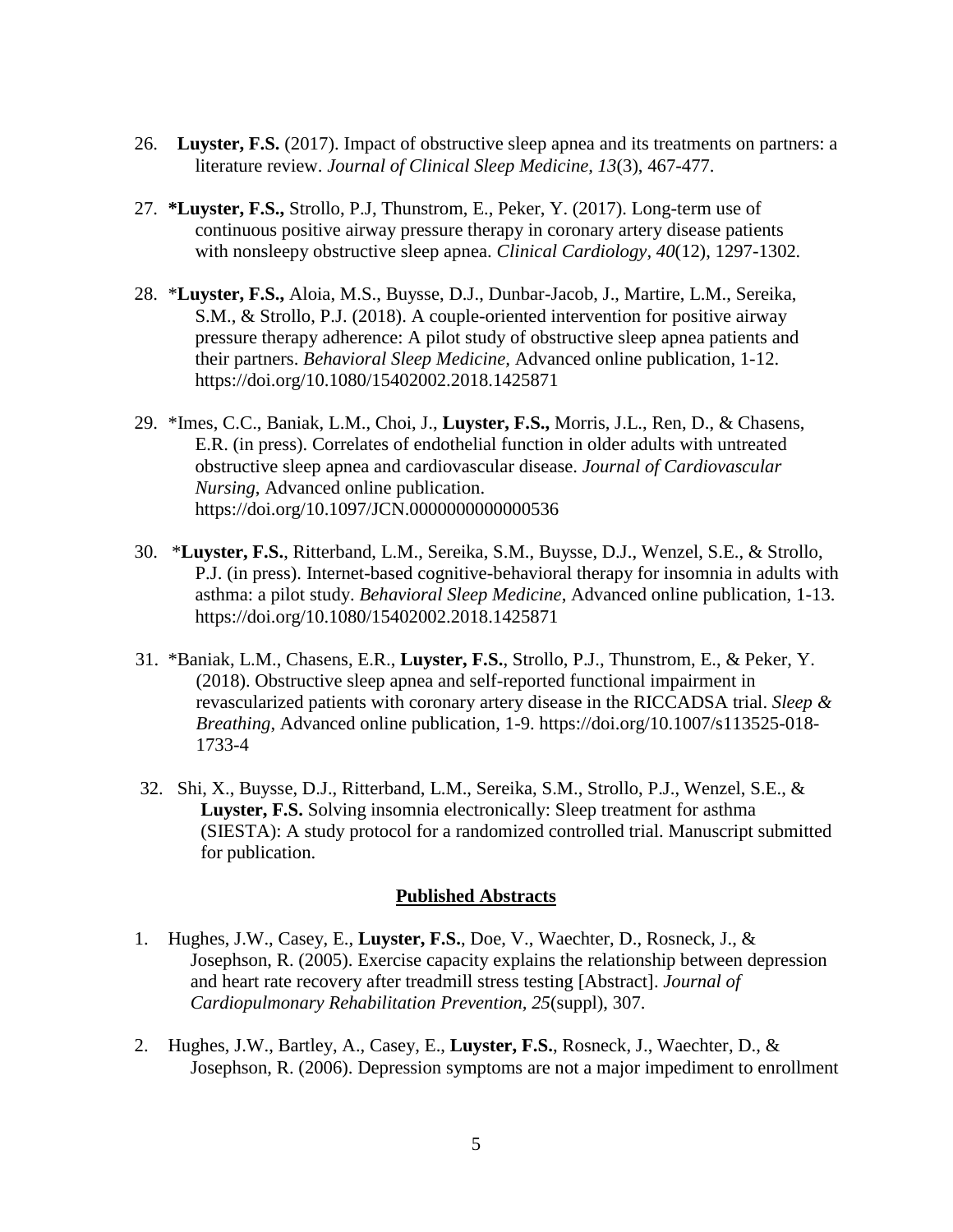- 26. **Luyster, F.S.** (2017). Impact of obstructive sleep apnea and its treatments on partners: a literature review. *Journal of Clinical Sleep Medicine, 13*(3), 467-477.
- 27. **\*Luyster, F.S.,** Strollo, P.J, Thunstrom, E., Peker, Y. (2017). Long-term use of continuous positive airway pressure therapy in coronary artery disease patients with nonsleepy obstructive sleep apnea. *Clinical Cardiology, 40*(12), 1297-1302*.*
- 28. \***Luyster, F.S.,** Aloia, M.S., Buysse, D.J., Dunbar-Jacob, J., Martire, L.M., Sereika, S.M., & Strollo, P.J. (2018). A couple-oriented intervention for positive airway pressure therapy adherence: A pilot study of obstructive sleep apnea patients and their partners. *Behavioral Sleep Medicine,* Advanced online publication, 1-12. https://doi.org/10.1080/15402002.2018.1425871
- 29. \*Imes, C.C., Baniak, L.M., Choi, J., **Luyster, F.S.,** Morris, J.L., Ren, D., & Chasens, E.R. (in press). Correlates of endothelial function in older adults with untreated obstructive sleep apnea and cardiovascular disease. *Journal of Cardiovascular Nursing*, Advanced online publication. https://doi.org/10.1097/JCN.0000000000000536
- 30. \***Luyster, F.S.**, Ritterband, L.M., Sereika, S.M., Buysse, D.J., Wenzel, S.E., & Strollo, P.J. (in press). Internet-based cognitive-behavioral therapy for insomnia in adults with asthma: a pilot study. *Behavioral Sleep Medicine*, Advanced online publication, 1-13. https://doi.org/10.1080/15402002.2018.1425871
- 31. \*Baniak, L.M., Chasens, E.R., **Luyster, F.S.**, Strollo, P.J., Thunstrom, E., & Peker, Y. (2018). Obstructive sleep apnea and self-reported functional impairment in revascularized patients with coronary artery disease in the RICCADSA trial. *Sleep & Breathing*, Advanced online publication, 1-9. https://doi.org/10.1007/s113525-018- 1733-4
- 32. Shi, X., Buysse, D.J., Ritterband, L.M., Sereika, S.M., Strollo, P.J., Wenzel, S.E., & **Luyster, F.S.** Solving insomnia electronically: Sleep treatment for asthma (SIESTA): A study protocol for a randomized controlled trial. Manuscript submitted for publication.

#### **Published Abstracts**

- 1. Hughes, J.W., Casey, E., **Luyster, F.S.**, Doe, V., Waechter, D., Rosneck, J., & Josephson, R. (2005). Exercise capacity explains the relationship between depression and heart rate recovery after treadmill stress testing [Abstract]. *Journal of Cardiopulmonary Rehabilitation Prevention, 25*(suppl), 307.
- 2. Hughes, J.W., Bartley, A., Casey, E., **Luyster, F.S.**, Rosneck, J., Waechter, D., & Josephson, R. (2006). Depression symptoms are not a major impediment to enrollment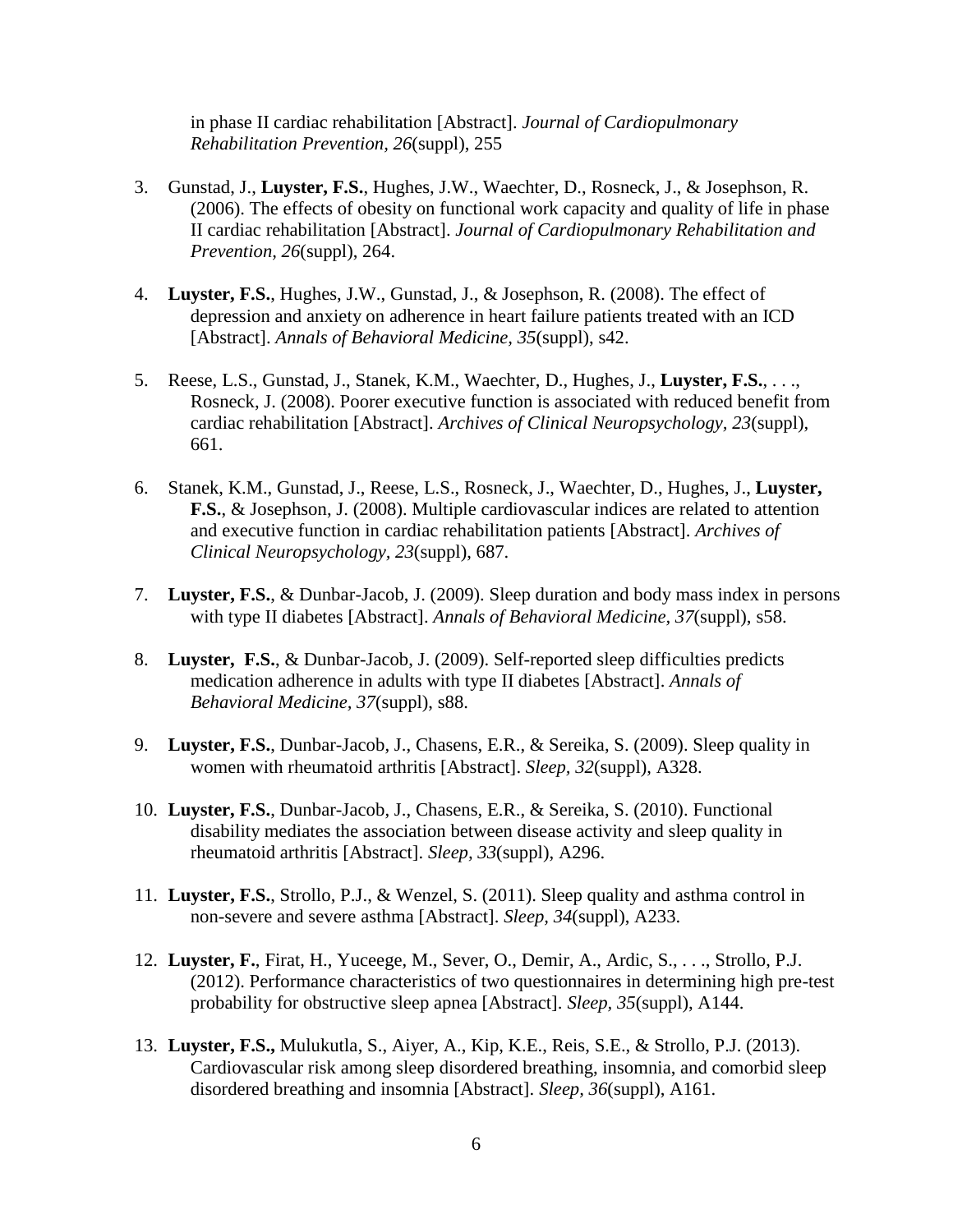in phase II cardiac rehabilitation [Abstract]. *Journal of Cardiopulmonary Rehabilitation Prevention, 26*(suppl), 255

- 3. Gunstad, J., **Luyster, F.S.**, Hughes, J.W., Waechter, D., Rosneck, J., & Josephson, R. (2006). The effects of obesity on functional work capacity and quality of life in phase II cardiac rehabilitation [Abstract]. *Journal of Cardiopulmonary Rehabilitation and Prevention, 26*(suppl), 264.
- 4. **Luyster, F.S.**, Hughes, J.W., Gunstad, J., & Josephson, R. (2008). The effect of depression and anxiety on adherence in heart failure patients treated with an ICD [Abstract]. *Annals of Behavioral Medicine, 35*(suppl), s42.
- 5. Reese, L.S., Gunstad, J., Stanek, K.M., Waechter, D., Hughes, J., **Luyster, F.S.**, . . ., Rosneck, J. (2008). Poorer executive function is associated with reduced benefit from cardiac rehabilitation [Abstract]. *Archives of Clinical Neuropsychology, 23*(suppl), 661.
- 6. Stanek, K.M., Gunstad, J., Reese, L.S., Rosneck, J., Waechter, D., Hughes, J., **Luyster, F.S.**, & Josephson, J. (2008). Multiple cardiovascular indices are related to attention and executive function in cardiac rehabilitation patients [Abstract]. *Archives of Clinical Neuropsychology, 23*(suppl), 687.
- 7. **Luyster, F.S.**, & Dunbar-Jacob, J. (2009). Sleep duration and body mass index in persons with type II diabetes [Abstract]. *Annals of Behavioral Medicine, 37*(suppl), s58.
- 8. **Luyster, F.S.**, & Dunbar-Jacob, J. (2009). Self-reported sleep difficulties predicts medication adherence in adults with type II diabetes [Abstract]. *Annals of Behavioral Medicine, 37*(suppl), s88.
- 9. **Luyster, F.S.**, Dunbar-Jacob, J., Chasens, E.R., & Sereika, S. (2009). Sleep quality in women with rheumatoid arthritis [Abstract]. *Sleep, 32*(suppl), A328.
- 10. **Luyster, F.S.**, Dunbar-Jacob, J., Chasens, E.R., & Sereika, S. (2010). Functional disability mediates the association between disease activity and sleep quality in rheumatoid arthritis [Abstract]. *Sleep, 33*(suppl), A296.
- 11. **Luyster, F.S.**, Strollo, P.J., & Wenzel, S. (2011). Sleep quality and asthma control in non-severe and severe asthma [Abstract]. *Sleep, 34*(suppl), A233.
- 12. **Luyster, F.**, Firat, H., Yuceege, M., Sever, O., Demir, A., Ardic, S., . . ., Strollo, P.J. (2012). Performance characteristics of two questionnaires in determining high pre-test probability for obstructive sleep apnea [Abstract]. *Sleep, 35*(suppl), A144.
- 13. **Luyster, F.S.,** Mulukutla, S., Aiyer, A., Kip, K.E., Reis, S.E., & Strollo, P.J. (2013). Cardiovascular risk among sleep disordered breathing, insomnia, and comorbid sleep disordered breathing and insomnia [Abstract]. *Sleep, 36*(suppl), A161.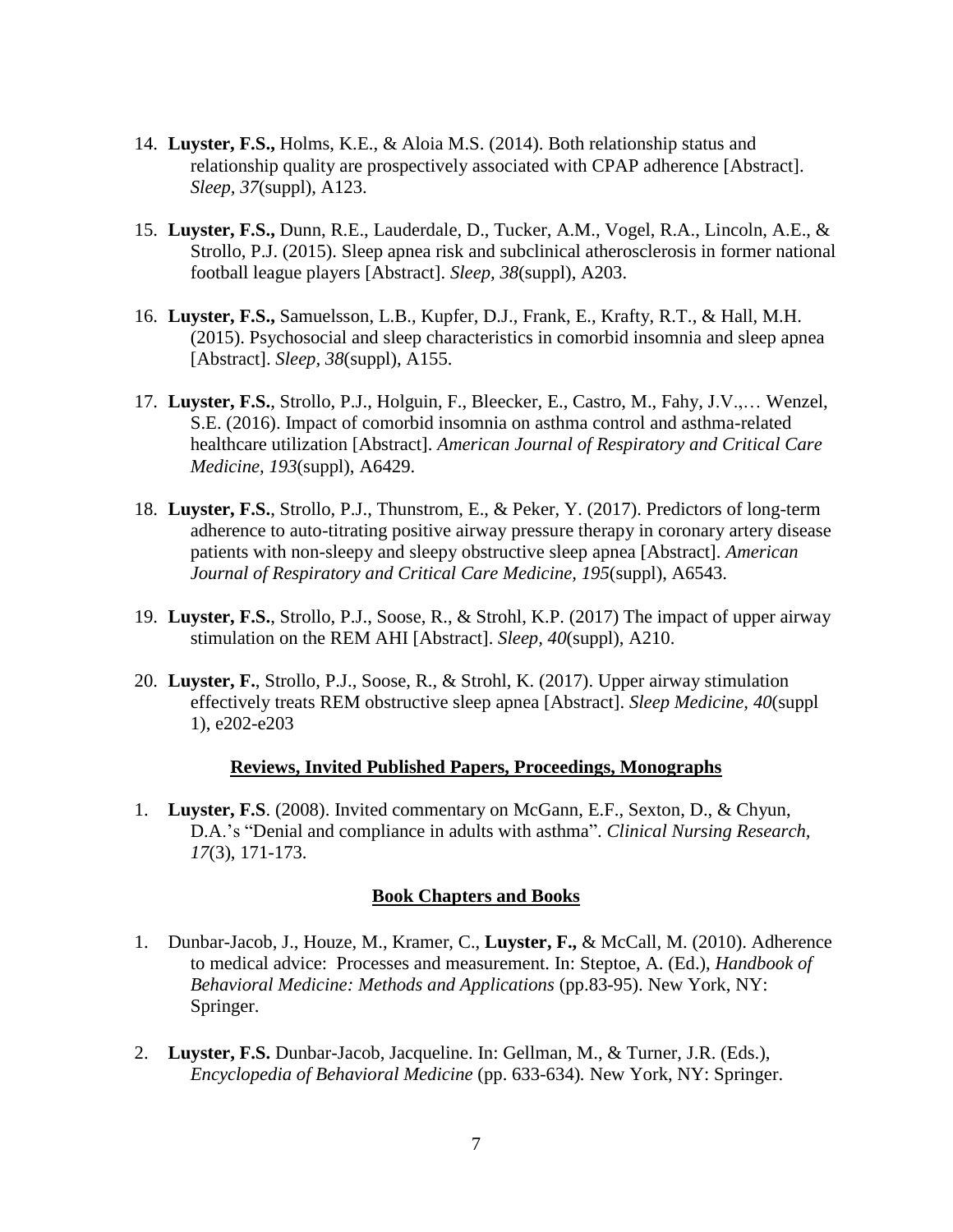- 14. **Luyster, F.S.,** Holms, K.E., & Aloia M.S. (2014). Both relationship status and relationship quality are prospectively associated with CPAP adherence [Abstract]. *Sleep, 37*(suppl), A123.
- 15. **Luyster, F.S.,** Dunn, R.E., Lauderdale, D., Tucker, A.M., Vogel, R.A., Lincoln, A.E., & Strollo, P.J. (2015). Sleep apnea risk and subclinical atherosclerosis in former national football league players [Abstract]. *Sleep, 38*(suppl), A203.
- 16. **Luyster, F.S.,** Samuelsson, L.B., Kupfer, D.J., Frank, E., Krafty, R.T., & Hall, M.H. (2015). Psychosocial and sleep characteristics in comorbid insomnia and sleep apnea [Abstract]. *Sleep, 38*(suppl), A155.
- 17. **Luyster, F.S.**, Strollo, P.J., Holguin, F., Bleecker, E., Castro, M., Fahy, J.V.,… Wenzel, S.E. (2016). Impact of comorbid insomnia on asthma control and asthma-related healthcare utilization [Abstract]. *American Journal of Respiratory and Critical Care Medicine, 193*(suppl), A6429.
- 18. **Luyster, F.S.**, Strollo, P.J., Thunstrom, E., & Peker, Y. (2017). Predictors of long-term adherence to auto-titrating positive airway pressure therapy in coronary artery disease patients with non-sleepy and sleepy obstructive sleep apnea [Abstract]. *American Journal of Respiratory and Critical Care Medicine, 195*(suppl), A6543.
- 19. **Luyster, F.S.**, Strollo, P.J., Soose, R., & Strohl, K.P. (2017) The impact of upper airway stimulation on the REM AHI [Abstract]. *Sleep, 40*(suppl), A210.
- 20. **Luyster, F.**, Strollo, P.J., Soose, R., & Strohl, K. (2017). Upper airway stimulation effectively treats REM obstructive sleep apnea [Abstract]. *Sleep Medicine, 40*(suppl 1), e202-e203

#### **Reviews, Invited Published Papers, Proceedings, Monographs**

1. **Luyster, F.S**. (2008). Invited commentary on McGann, E.F., Sexton, D., & Chyun, D.A.'s "Denial and compliance in adults with asthma". *Clinical Nursing Research, 17*(3), 171-173.

#### **Book Chapters and Books**

- 1. Dunbar-Jacob, J., Houze, M., Kramer, C., **Luyster, F.,** & McCall, M. (2010). Adherence to medical advice: Processes and measurement. In: Steptoe, A. (Ed.), *Handbook of Behavioral Medicine: Methods and Applications* (pp.83-95). New York, NY: Springer.
- 2. **Luyster, F.S.** Dunbar-Jacob, Jacqueline. In: Gellman, M., & Turner, J.R. (Eds.), *Encyclopedia of Behavioral Medicine* (pp. 633-634)*.* New York, NY: Springer.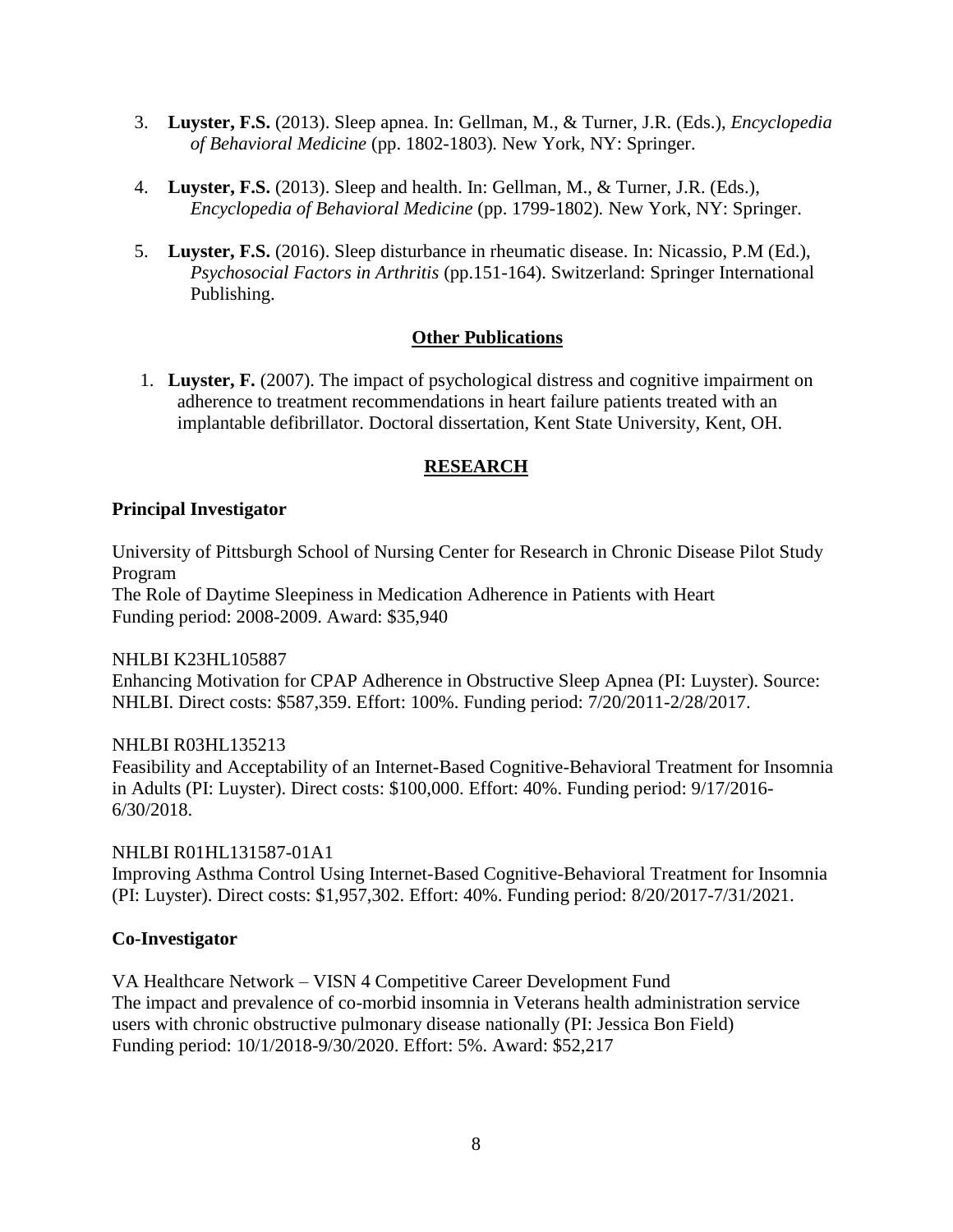- 3. **Luyster, F.S.** (2013). Sleep apnea. In: Gellman, M., & Turner, J.R. (Eds.), *Encyclopedia of Behavioral Medicine* (pp. 1802-1803)*.* New York, NY: Springer.
- 4. **Luyster, F.S.** (2013). Sleep and health. In: Gellman, M., & Turner, J.R. (Eds.), *Encyclopedia of Behavioral Medicine* (pp. 1799-1802)*.* New York, NY: Springer.
- 5. **Luyster, F.S.** (2016). Sleep disturbance in rheumatic disease. In: Nicassio, P.M (Ed.), *Psychosocial Factors in Arthritis* (pp.151-164). Switzerland: Springer International Publishing.

## **Other Publications**

1. **Luyster, F.** (2007). The impact of psychological distress and cognitive impairment on adherence to treatment recommendations in heart failure patients treated with an implantable defibrillator. Doctoral dissertation, Kent State University, Kent, OH.

# **RESEARCH**

#### **Principal Investigator**

University of Pittsburgh School of Nursing Center for Research in Chronic Disease Pilot Study Program

The Role of Daytime Sleepiness in Medication Adherence in Patients with Heart Funding period: 2008-2009. Award: \$35,940

## NHLBI K23HL105887

Enhancing Motivation for CPAP Adherence in Obstructive Sleep Apnea (PI: Luyster). Source: NHLBI. Direct costs: \$587,359. Effort: 100%. Funding period: 7/20/2011-2/28/2017.

#### NHLBI R03HL135213

Feasibility and Acceptability of an Internet-Based Cognitive-Behavioral Treatment for Insomnia in Adults (PI: Luyster). Direct costs: \$100,000. Effort: 40%. Funding period: 9/17/2016- 6/30/2018.

# NHLBI R01HL131587-01A1

Improving Asthma Control Using Internet-Based Cognitive-Behavioral Treatment for Insomnia (PI: Luyster). Direct costs: \$1,957,302. Effort: 40%. Funding period: 8/20/2017-7/31/2021.

## **Co-Investigator**

VA Healthcare Network – VISN 4 Competitive Career Development Fund The impact and prevalence of co-morbid insomnia in Veterans health administration service users with chronic obstructive pulmonary disease nationally (PI: Jessica Bon Field) Funding period: 10/1/2018-9/30/2020. Effort: 5%. Award: \$52,217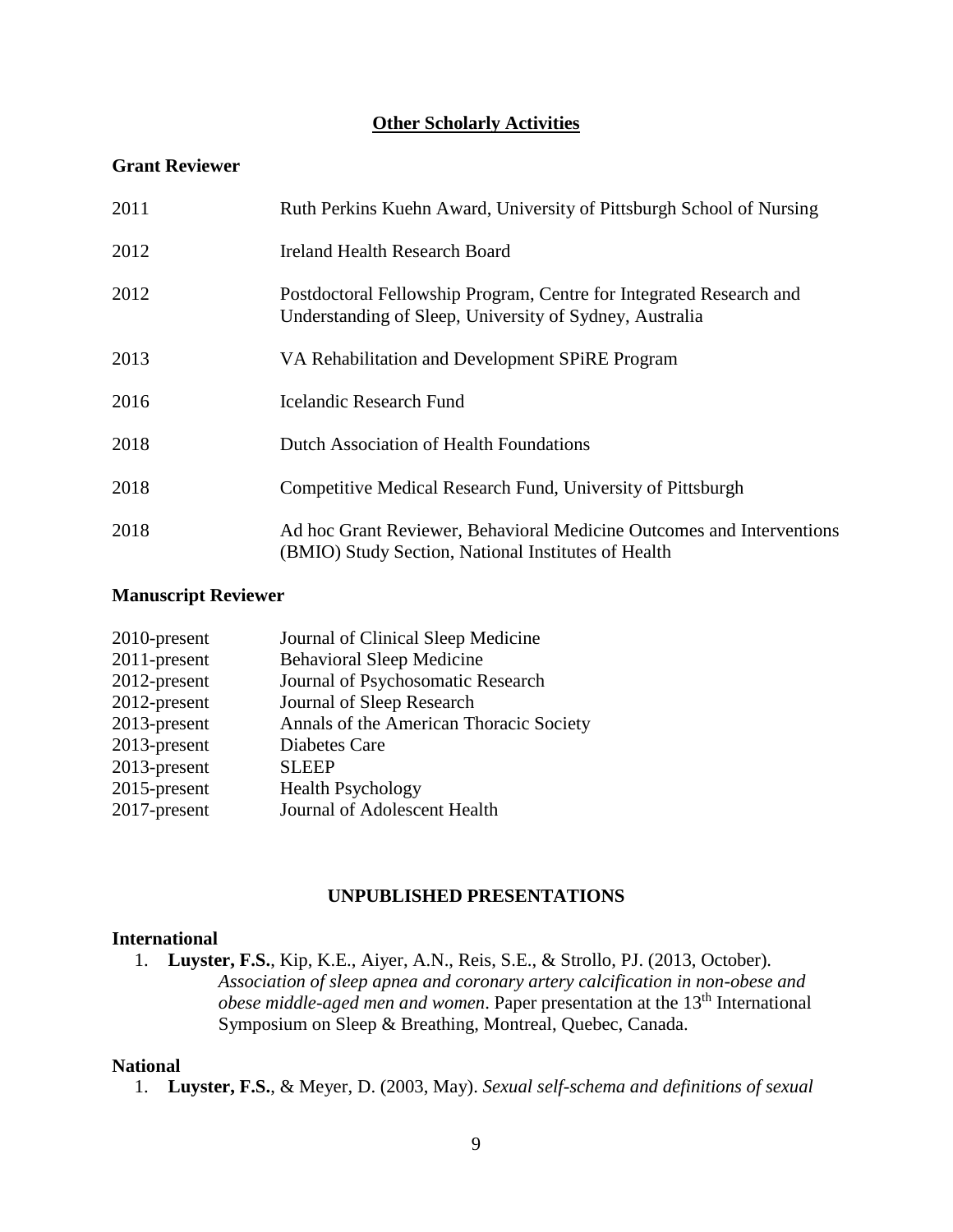#### **Other Scholarly Activities**

#### **Grant Reviewer**

| 2011 | Ruth Perkins Kuehn Award, University of Pittsburgh School of Nursing                                                           |
|------|--------------------------------------------------------------------------------------------------------------------------------|
| 2012 | Ireland Health Research Board                                                                                                  |
| 2012 | Postdoctoral Fellowship Program, Centre for Integrated Research and<br>Understanding of Sleep, University of Sydney, Australia |
| 2013 | VA Rehabilitation and Development SPiRE Program                                                                                |
| 2016 | <b>Icelandic Research Fund</b>                                                                                                 |
| 2018 | Dutch Association of Health Foundations                                                                                        |
| 2018 | Competitive Medical Research Fund, University of Pittsburgh                                                                    |
| 2018 | Ad hoc Grant Reviewer, Behavioral Medicine Outcomes and Interventions<br>(BMIO) Study Section, National Institutes of Health   |

#### **Manuscript Reviewer**

| 2010-present | Journal of Clinical Sleep Medicine      |
|--------------|-----------------------------------------|
| 2011-present | <b>Behavioral Sleep Medicine</b>        |
| 2012-present | Journal of Psychosomatic Research       |
| 2012-present | Journal of Sleep Research               |
| 2013-present | Annals of the American Thoracic Society |
| 2013-present | Diabetes Care                           |
| 2013-present | <b>SLEEP</b>                            |
| 2015-present | <b>Health Psychology</b>                |
| 2017-present | Journal of Adolescent Health            |
|              |                                         |

#### **UNPUBLISHED PRESENTATIONS**

#### **International**

1. **Luyster, F.S.**, Kip, K.E., Aiyer, A.N., Reis, S.E., & Strollo, PJ. (2013, October). *Association of sleep apnea and coronary artery calcification in non-obese and obese middle-aged men and women*. Paper presentation at the 13<sup>th</sup> International Symposium on Sleep & Breathing, Montreal, Quebec, Canada.

#### **National**

1. **Luyster, F.S.**, & Meyer, D. (2003, May). *Sexual self-schema and definitions of sexual*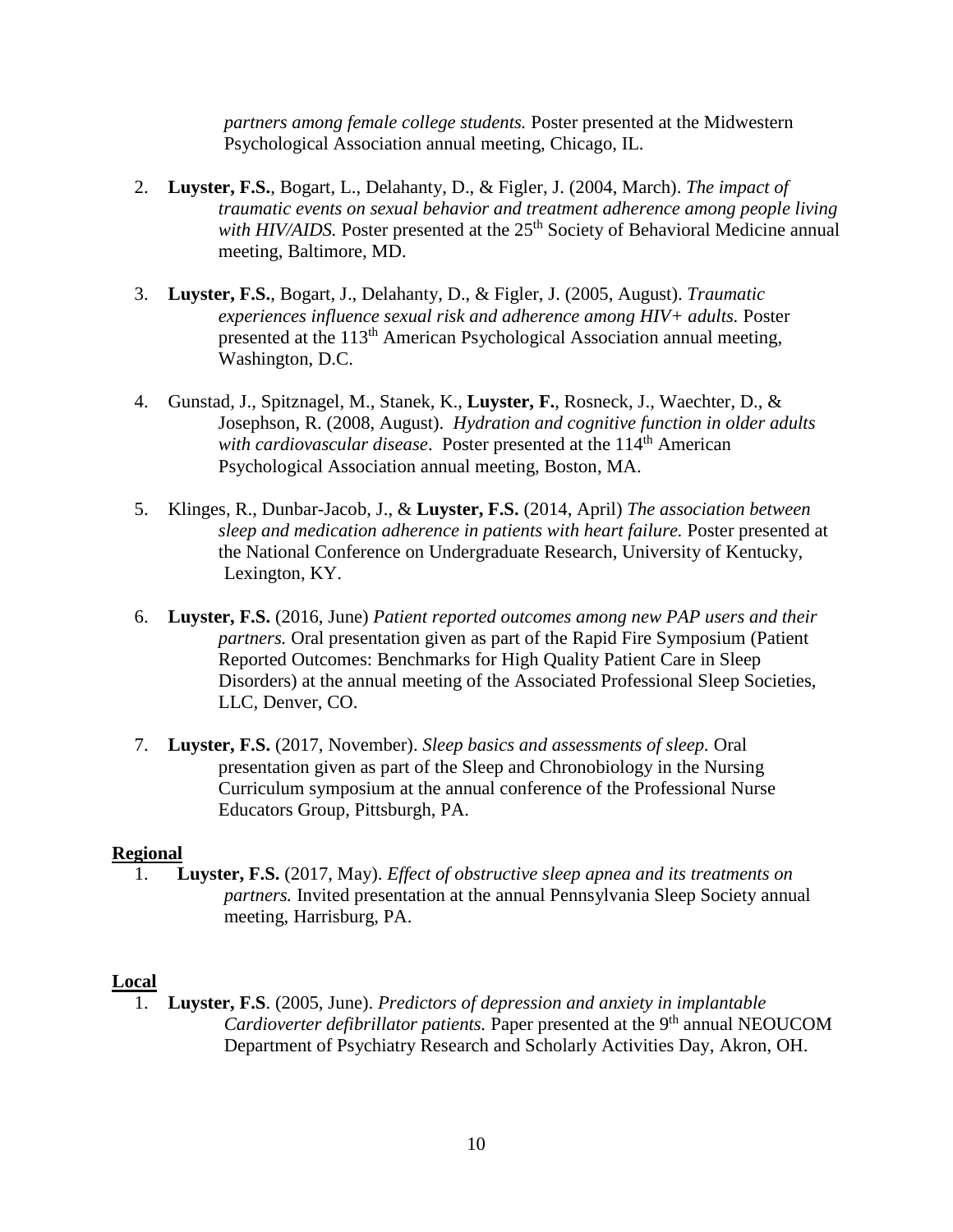*partners among female college students.* Poster presented at the Midwestern Psychological Association annual meeting, Chicago, IL.

- 2. **Luyster, F.S.**, Bogart, L., Delahanty, D., & Figler, J. (2004, March). *The impact of traumatic events on sexual behavior and treatment adherence among people living*  with HIV/AIDS. Poster presented at the 25<sup>th</sup> Society of Behavioral Medicine annual meeting, Baltimore, MD.
- 3. **Luyster, F.S.**, Bogart, J., Delahanty, D., & Figler, J. (2005, August). *Traumatic experiences influence sexual risk and adherence among HIV+ adults.* Poster presented at the 113<sup>th</sup> American Psychological Association annual meeting, Washington, D.C.
- 4. Gunstad, J., Spitznagel, M., Stanek, K., **Luyster, F.**, Rosneck, J., Waechter, D., & Josephson, R. (2008, August). *Hydration and cognitive function in older adults*  with cardiovascular disease. Poster presented at the 114<sup>th</sup> American Psychological Association annual meeting, Boston, MA.
- 5. Klinges, R., Dunbar-Jacob, J., & **Luyster, F.S.** (2014, April) *The association between sleep and medication adherence in patients with heart failure.* Poster presented at the National Conference on Undergraduate Research, University of Kentucky, Lexington, KY.
- 6. **Luyster, F.S.** (2016, June) *Patient reported outcomes among new PAP users and their partners.* Oral presentation given as part of the Rapid Fire Symposium (Patient Reported Outcomes: Benchmarks for High Quality Patient Care in Sleep Disorders) at the annual meeting of the Associated Professional Sleep Societies, LLC, Denver, CO.
- 7. **Luyster, F.S.** (2017, November). *Sleep basics and assessments of sleep.* Oral presentation given as part of the Sleep and Chronobiology in the Nursing Curriculum symposium at the annual conference of the Professional Nurse Educators Group, Pittsburgh, PA.

#### **Regional**

1. **Luyster, F.S.** (2017, May). *Effect of obstructive sleep apnea and its treatments on*  *partners.* Invited presentation at the annual Pennsylvania Sleep Society annual meeting, Harrisburg, PA.

#### **Local**

1. **Luyster, F.S**. (2005, June). *Predictors of depression and anxiety in implantable Cardioverter defibrillator patients.* Paper presented at the 9<sup>th</sup> annual NEOUCOM Department of Psychiatry Research and Scholarly Activities Day, Akron, OH.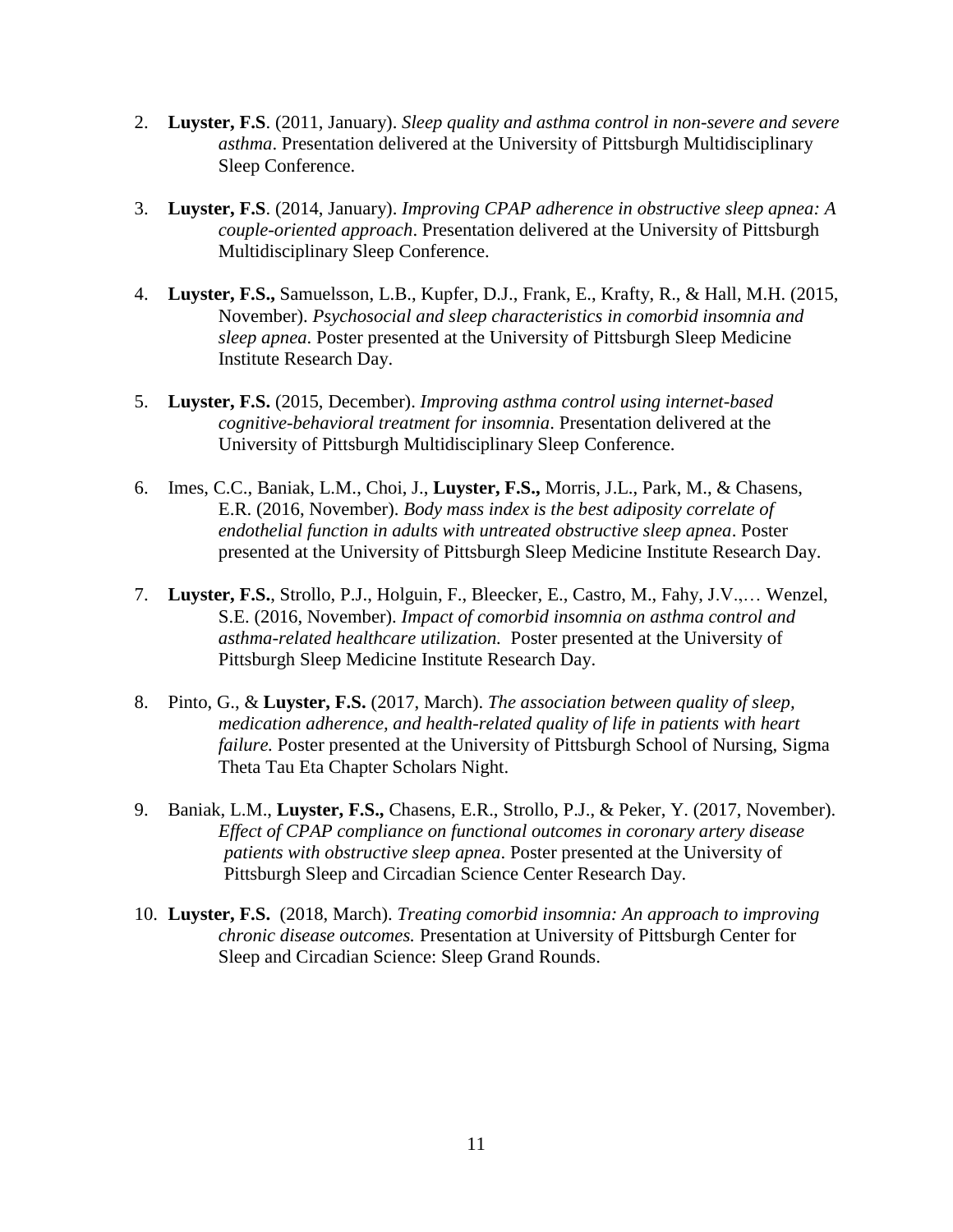- 2. **Luyster, F.S**. (2011, January). *Sleep quality and asthma control in non-severe and severe asthma*. Presentation delivered at the University of Pittsburgh Multidisciplinary Sleep Conference.
- 3. **Luyster, F.S**. (2014, January). *Improving CPAP adherence in obstructive sleep apnea: A couple-oriented approach*. Presentation delivered at the University of Pittsburgh Multidisciplinary Sleep Conference.
- 4. **Luyster, F.S.,** Samuelsson, L.B., Kupfer, D.J., Frank, E., Krafty, R., & Hall, M.H. (2015, November). *Psychosocial and sleep characteristics in comorbid insomnia and sleep apnea*. Poster presented at the University of Pittsburgh Sleep Medicine Institute Research Day.
- 5. **Luyster, F.S.** (2015, December). *Improving asthma control using internet-based cognitive-behavioral treatment for insomnia*. Presentation delivered at the University of Pittsburgh Multidisciplinary Sleep Conference.
- 6. Imes, C.C., Baniak, L.M., Choi, J., **Luyster, F.S.,** Morris, J.L., Park, M., & Chasens, E.R. (2016, November). *Body mass index is the best adiposity correlate of endothelial function in adults with untreated obstructive sleep apnea*. Poster presented at the University of Pittsburgh Sleep Medicine Institute Research Day.
- 7. **Luyster, F.S.**, Strollo, P.J., Holguin, F., Bleecker, E., Castro, M., Fahy, J.V.,… Wenzel, S.E. (2016, November). *Impact of comorbid insomnia on asthma control and asthma-related healthcare utilization.* Poster presented at the University of Pittsburgh Sleep Medicine Institute Research Day.
- 8. Pinto, G., & **Luyster, F.S.** (2017, March). *The association between quality of sleep, medication adherence, and health-related quality of life in patients with heart failure.* Poster presented at the University of Pittsburgh School of Nursing, Sigma Theta Tau Eta Chapter Scholars Night.
- 9. Baniak, L.M., **Luyster, F.S.,** Chasens, E.R., Strollo, P.J., & Peker, Y. (2017, November). *Effect of CPAP compliance on functional outcomes in coronary artery disease patients with obstructive sleep apnea*. Poster presented at the University of Pittsburgh Sleep and Circadian Science Center Research Day.
- 10. **Luyster, F.S.** (2018, March). *Treating comorbid insomnia: An approach to improving chronic disease outcomes.* Presentation at University of Pittsburgh Center for Sleep and Circadian Science: Sleep Grand Rounds.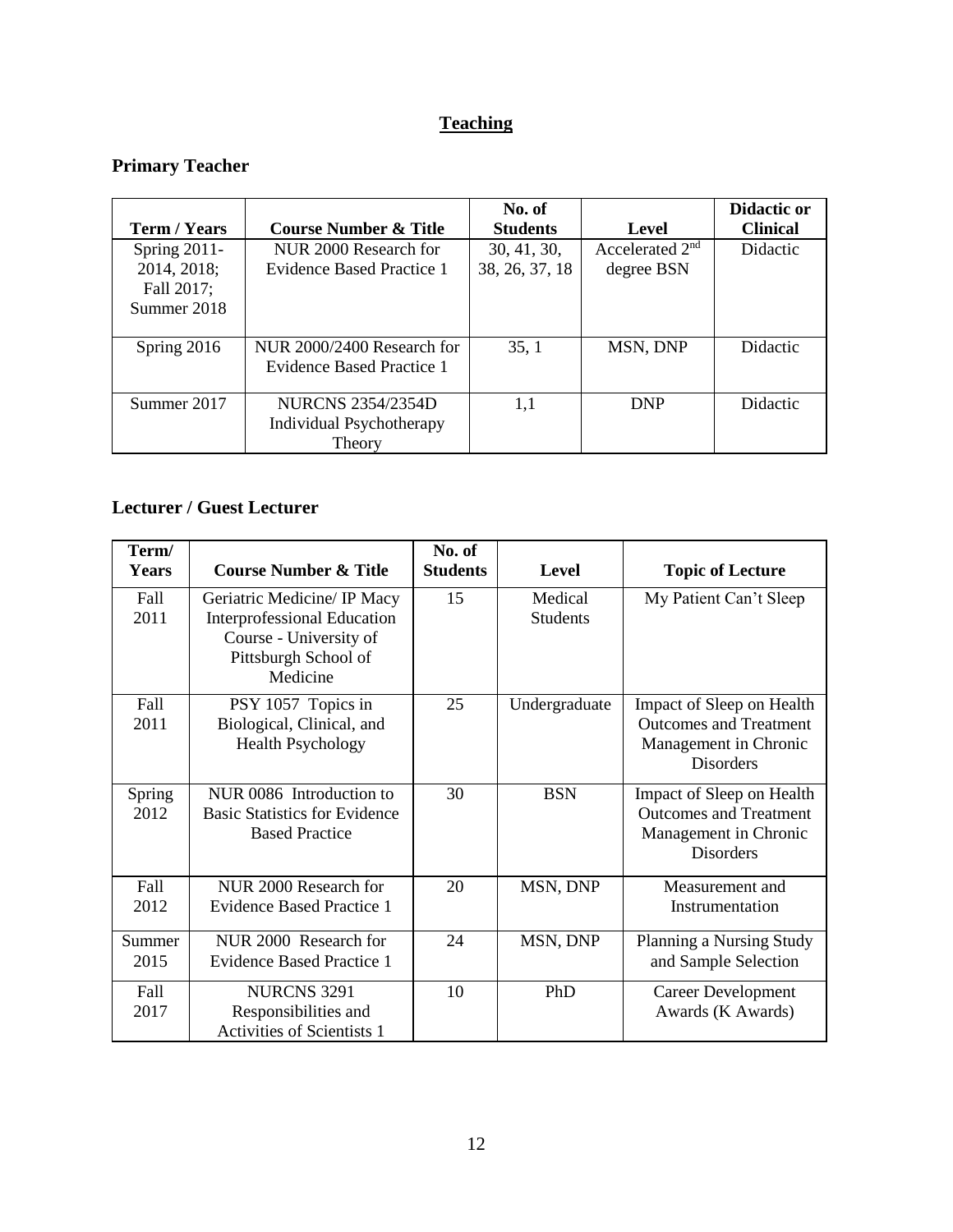# **Teaching**

# **Primary Teacher**

|                 |                                  | No. of          |                             | Didactic or     |
|-----------------|----------------------------------|-----------------|-----------------------------|-----------------|
| Term / Years    | <b>Course Number &amp; Title</b> | <b>Students</b> | Level                       | <b>Clinical</b> |
| Spring $2011$ - | NUR 2000 Research for            | 30, 41, 30,     | Accelerated 2 <sup>nd</sup> | Didactic        |
| 2014, 2018;     | Evidence Based Practice 1        | 38, 26, 37, 18  | degree BSN                  |                 |
| Fall 2017;      |                                  |                 |                             |                 |
| Summer 2018     |                                  |                 |                             |                 |
|                 |                                  |                 |                             |                 |
| Spring 2016     | NUR 2000/2400 Research for       | 35, 1           | MSN, DNP                    | <b>Didactic</b> |
|                 | Evidence Based Practice 1        |                 |                             |                 |
|                 |                                  |                 |                             |                 |
| Summer 2017     | <b>NURCNS 2354/2354D</b>         | 1.1             | <b>DNP</b>                  | Didactic        |
|                 | Individual Psychotherapy         |                 |                             |                 |
|                 | Theory                           |                 |                             |                 |

# **Lecturer / Guest Lecturer**

| Term/<br><b>Years</b> | <b>Course Number &amp; Title</b>                                                                                                | No. of<br><b>Students</b> | <b>Level</b>               | <b>Topic of Lecture</b>                                                                                 |
|-----------------------|---------------------------------------------------------------------------------------------------------------------------------|---------------------------|----------------------------|---------------------------------------------------------------------------------------------------------|
| Fall<br>2011          | Geriatric Medicine/ IP Macy<br><b>Interprofessional Education</b><br>Course - University of<br>Pittsburgh School of<br>Medicine | 15                        | Medical<br><b>Students</b> | My Patient Can't Sleep                                                                                  |
| Fall<br>2011          | PSY 1057 Topics in<br>Biological, Clinical, and<br><b>Health Psychology</b>                                                     | 25                        | Undergraduate              | Impact of Sleep on Health<br><b>Outcomes and Treatment</b><br>Management in Chronic<br><b>Disorders</b> |
| Spring<br>2012        | NUR 0086 Introduction to<br><b>Basic Statistics for Evidence</b><br><b>Based Practice</b>                                       | 30                        | <b>BSN</b>                 | Impact of Sleep on Health<br><b>Outcomes and Treatment</b><br>Management in Chronic<br><b>Disorders</b> |
| Fall<br>2012          | NUR 2000 Research for<br>Evidence Based Practice 1                                                                              | 20                        | MSN, DNP                   | Measurement and<br>Instrumentation                                                                      |
| Summer<br>2015        | NUR 2000 Research for<br>Evidence Based Practice 1                                                                              | 24                        | MSN, DNP                   | Planning a Nursing Study<br>and Sample Selection                                                        |
| Fall<br>2017          | <b>NURCNS 3291</b><br>Responsibilities and<br><b>Activities of Scientists 1</b>                                                 | 10                        | PhD                        | <b>Career Development</b><br>Awards (K Awards)                                                          |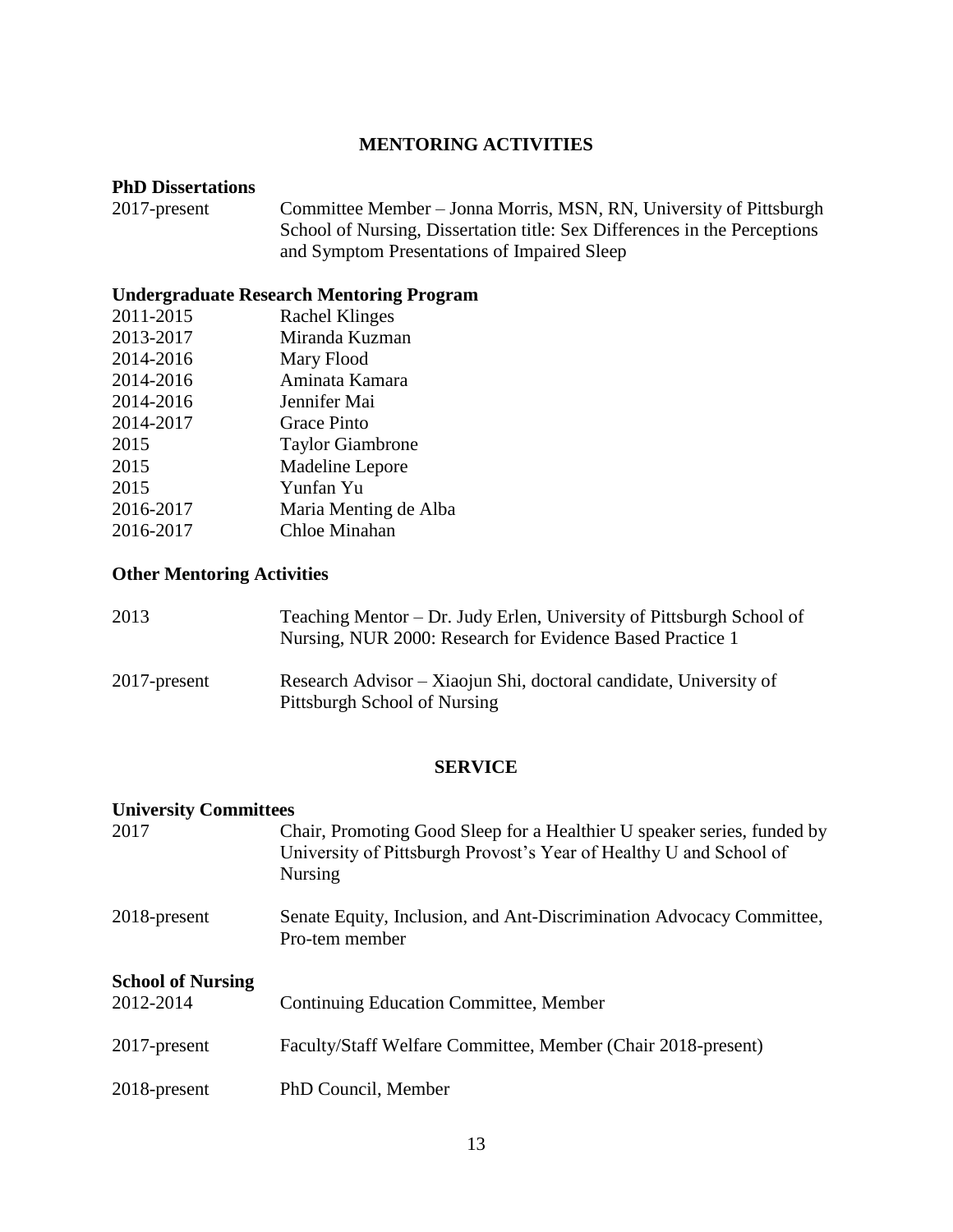## **MENTORING ACTIVITIES**

# **PhD Dissertations**

Committee Member – Jonna Morris, MSN, RN, University of Pittsburgh School of Nursing, Dissertation title: Sex Differences in the Perceptions and Symptom Presentations of Impaired Sleep

# **Undergraduate Research Mentoring Program**

| 2011-2015 | <b>Rachel Klinges</b>   |
|-----------|-------------------------|
| 2013-2017 | Miranda Kuzman          |
| 2014-2016 | Mary Flood              |
| 2014-2016 | Aminata Kamara          |
| 2014-2016 | Jennifer Mai            |
| 2014-2017 | <b>Grace Pinto</b>      |
| 2015      | <b>Taylor Giambrone</b> |
| 2015      | Madeline Lepore         |
| 2015      | Yunfan Yu               |
| 2016-2017 | Maria Menting de Alba   |
| 2016-2017 | Chloe Minahan           |
|           |                         |

### **Other Mentoring Activities**

| 2013         | Teaching Mentor – Dr. Judy Erlen, University of Pittsburgh School of<br>Nursing, NUR 2000: Research for Evidence Based Practice 1 |
|--------------|-----------------------------------------------------------------------------------------------------------------------------------|
| 2017-present | Research Advisor – Xiaojun Shi, doctoral candidate, University of<br>Pittsburgh School of Nursing                                 |

#### **SERVICE**

| <b>University Committees</b> |                                                                                                                                                                 |
|------------------------------|-----------------------------------------------------------------------------------------------------------------------------------------------------------------|
| 2017                         | Chair, Promoting Good Sleep for a Healthier U speaker series, funded by<br>University of Pittsburgh Provost's Year of Healthy U and School of<br><b>Nursing</b> |
| 2018-present                 | Senate Equity, Inclusion, and Ant-Discrimination Advocacy Committee,<br>Pro-tem member                                                                          |
| <b>School of Nursing</b>     |                                                                                                                                                                 |
| 2012-2014                    | <b>Continuing Education Committee, Member</b>                                                                                                                   |
| 2017-present                 | Faculty/Staff Welfare Committee, Member (Chair 2018-present)                                                                                                    |
| 2018-present                 | PhD Council, Member                                                                                                                                             |